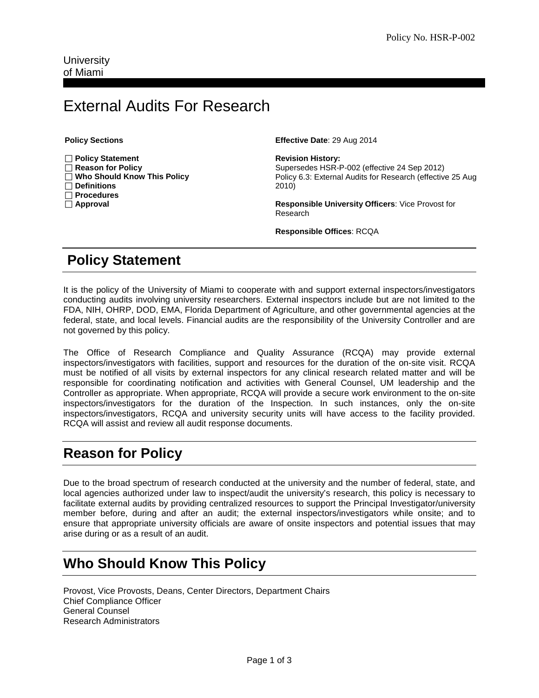# External Audits For Research

**Policy Sections** 

| $\Box$ Policy Statement            |
|------------------------------------|
| $\Box$ Reason for Policy           |
| $\Box$ Who Should Know This Policy |
| $\Box$ Definitions                 |
| $\Box$ Procedures                  |
| $\Box$ Approval                    |

**Effective Date**: 29 Aug 2014

**Revision History:**  Supersedes HSR-P-002 (effective 24 Sep 2012) Policy 6.3: External Audits for Research (effective 25 Aug 2010)

**Responsible University Officers**: Vice Provost for Research

**Responsible Offices**: RCQA

# **Policy Statement**

It is the policy of the University of Miami to cooperate with and support external inspectors/investigators conducting audits involving university researchers. External inspectors include but are not limited to the FDA, NIH, OHRP, DOD, EMA, Florida Department of Agriculture, and other governmental agencies at the federal, state, and local levels. Financial audits are the responsibility of the University Controller and are not governed by this policy.

The Office of Research Compliance and Quality Assurance (RCQA) may provide external inspectors/investigators with facilities, support and resources for the duration of the on-site visit. RCQA must be notified of all visits by external inspectors for any clinical research related matter and will be responsible for coordinating notification and activities with General Counsel, UM leadership and the Controller as appropriate. When appropriate, RCQA will provide a secure work environment to the on-site inspectors/investigators for the duration of the Inspection. In such instances, only the on-site inspectors/investigators, RCQA and university security units will have access to the facility provided. RCQA will assist and review all audit response documents.

### **Reason for Policy**

Due to the broad spectrum of research conducted at the university and the number of federal, state, and local agencies authorized under law to inspect/audit the university's research, this policy is necessary to facilitate external audits by providing centralized resources to support the Principal Investigator/university member before, during and after an audit; the external inspectors/investigators while onsite; and to ensure that appropriate university officials are aware of onsite inspectors and potential issues that may arise during or as a result of an audit.

# **Who Should Know This Policy**

Provost, Vice Provosts, Deans, Center Directors, Department Chairs Chief Compliance Officer General Counsel Research Administrators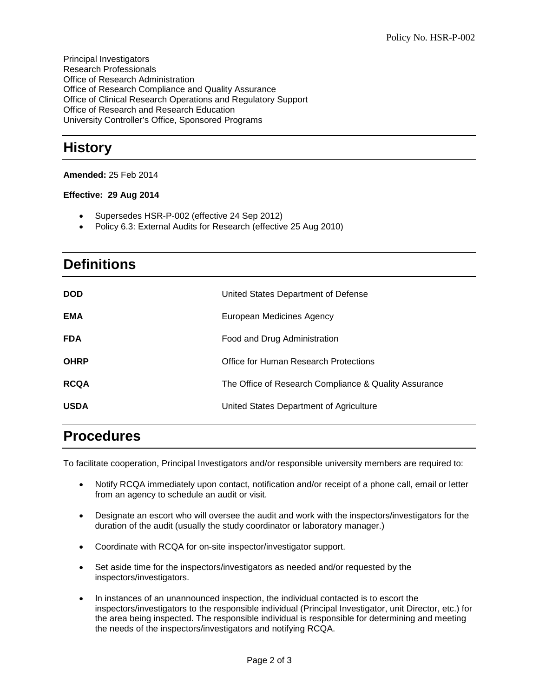Principal Investigators Research Professionals Office of Research Administration Office of Research Compliance and Quality Assurance Office of Clinical Research Operations and Regulatory Support Office of Research and Research Education University Controller's Office, Sponsored Programs

### **History**

#### **Amended:** 25 Feb 2014

#### **Effective: 29 Aug 2014**

- Supersedes HSR-P-002 (effective 24 Sep 2012)
- Policy 6.3: External Audits for Research (effective 25 Aug 2010)

### **Definitions**

| <b>DOD</b>  | United States Department of Defense                   |
|-------------|-------------------------------------------------------|
| <b>EMA</b>  | European Medicines Agency                             |
| <b>FDA</b>  | Food and Drug Administration                          |
| <b>OHRP</b> | Office for Human Research Protections                 |
| <b>RCQA</b> | The Office of Research Compliance & Quality Assurance |
| <b>USDA</b> | United States Department of Agriculture               |
|             |                                                       |

### **Procedures**

To facilitate cooperation, Principal Investigators and/or responsible university members are required to:

- Notify RCQA immediately upon contact, notification and/or receipt of a phone call, email or letter from an agency to schedule an audit or visit.
- Designate an escort who will oversee the audit and work with the inspectors/investigators for the duration of the audit (usually the study coordinator or laboratory manager.)
- Coordinate with RCQA for on-site inspector/investigator support.
- Set aside time for the inspectors/investigators as needed and/or requested by the inspectors/investigators.
- In instances of an unannounced inspection, the individual contacted is to escort the inspectors/investigators to the responsible individual (Principal Investigator, unit Director, etc.) for the area being inspected. The responsible individual is responsible for determining and meeting the needs of the inspectors/investigators and notifying RCQA.